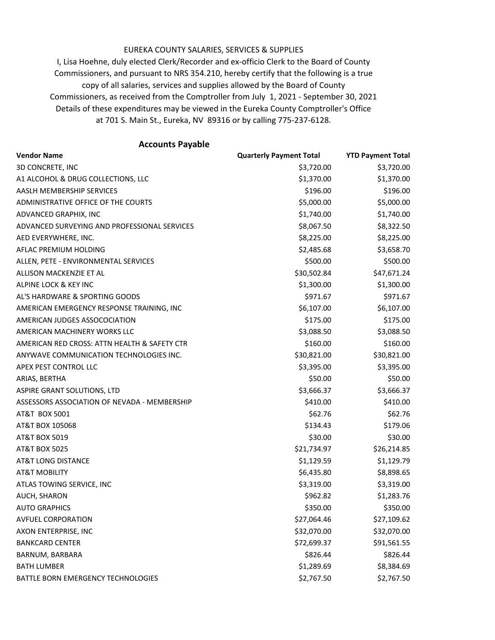## EUREKA COUNTY SALARIES, SERVICES & SUPPLIES

at 701 S. Main St., Eureka, NV 89316 or by calling 775-237-6128. I, Lisa Hoehne, duly elected Clerk/Recorder and ex-officio Clerk to the Board of County Commissioners, and pursuant to NRS 354.210, hereby certify that the following is a true copy of all salaries, services and supplies allowed by the Board of County Commissioners, as received from the Comptroller from July 1, 2021 - September 30, 2021 Details of these expenditures may be viewed in the Eureka County Comptroller's Office

## **Accounts Payable**

| <b>Vendor Name</b>                           | <b>Quarterly Payment Total</b> | <b>YTD Payment Total</b> |
|----------------------------------------------|--------------------------------|--------------------------|
| 3D CONCRETE, INC                             | \$3,720.00                     | \$3,720.00               |
| A1 ALCOHOL & DRUG COLLECTIONS, LLC           | \$1,370.00                     | \$1,370.00               |
| AASLH MEMBERSHIP SERVICES                    | \$196.00                       | \$196.00                 |
| ADMINISTRATIVE OFFICE OF THE COURTS          | \$5,000.00                     | \$5,000.00               |
| ADVANCED GRAPHIX, INC                        | \$1,740.00                     | \$1,740.00               |
| ADVANCED SURVEYING AND PROFESSIONAL SERVICES | \$8,067.50                     | \$8,322.50               |
| AED EVERYWHERE, INC.                         | \$8,225.00                     | \$8,225.00               |
| AFLAC PREMIUM HOLDING                        | \$2,485.68                     | \$3,658.70               |
| ALLEN, PETE - ENVIRONMENTAL SERVICES         | \$500.00                       | \$500.00                 |
| ALLISON MACKENZIE ET AL                      | \$30,502.84                    | \$47,671.24              |
| ALPINE LOCK & KEY INC                        | \$1,300.00                     | \$1,300.00               |
| AL'S HARDWARE & SPORTING GOODS               | \$971.67                       | \$971.67                 |
| AMERICAN EMERGENCY RESPONSE TRAINING, INC    | \$6,107.00                     | \$6,107.00               |
| AMERICAN JUDGES ASSOCOCIATION                | \$175.00                       | \$175.00                 |
| AMERICAN MACHINERY WORKS LLC                 | \$3,088.50                     | \$3,088.50               |
| AMERICAN RED CROSS: ATTN HEALTH & SAFETY CTR | \$160.00                       | \$160.00                 |
| ANYWAVE COMMUNICATION TECHNOLOGIES INC.      | \$30,821.00                    | \$30,821.00              |
| APEX PEST CONTROL LLC                        | \$3,395.00                     | \$3,395.00               |
| ARIAS, BERTHA                                | \$50.00                        | \$50.00                  |
| ASPIRE GRANT SOLUTIONS, LTD                  | \$3,666.37                     | \$3,666.37               |
| ASSESSORS ASSOCIATION OF NEVADA - MEMBERSHIP | \$410.00                       | \$410.00                 |
| AT&T BOX 5001                                | \$62.76                        | \$62.76                  |
| AT&T BOX 105068                              | \$134.43                       | \$179.06                 |
| <b>AT&amp;T BOX 5019</b>                     | \$30.00                        | \$30.00                  |
| <b>AT&amp;T BOX 5025</b>                     | \$21,734.97                    | \$26,214.85              |
| AT&T LONG DISTANCE                           | \$1,129.59                     | \$1,129.79               |
| <b>AT&amp;T MOBILITY</b>                     | \$6,435.80                     | \$8,898.65               |
| ATLAS TOWING SERVICE, INC                    | \$3,319.00                     | \$3,319.00               |
| AUCH, SHARON                                 | \$962.82                       | \$1,283.76               |
| <b>AUTO GRAPHICS</b>                         | \$350.00                       | \$350.00                 |
| <b>AVFUEL CORPORATION</b>                    | \$27,064.46                    | \$27,109.62              |
| AXON ENTERPRISE, INC                         | \$32,070.00                    | \$32,070.00              |
| <b>BANKCARD CENTER</b>                       | \$72,699.37                    | \$91,561.55              |
| BARNUM, BARBARA                              | \$826.44                       | \$826.44                 |
| <b>BATH LUMBER</b>                           | \$1,289.69                     | \$8,384.69               |
| BATTLE BORN EMERGENCY TECHNOLOGIES           | \$2,767.50                     | \$2,767.50               |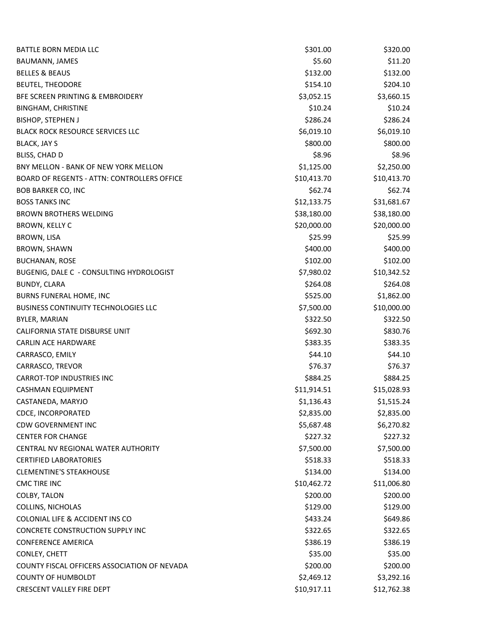| BATTLE BORN MEDIA LLC                              | \$301.00    | \$320.00    |
|----------------------------------------------------|-------------|-------------|
| BAUMANN, JAMES                                     | \$5.60      | \$11.20     |
| <b>BELLES &amp; BEAUS</b>                          | \$132.00    | \$132.00    |
| <b>BEUTEL, THEODORE</b>                            | \$154.10    | \$204.10    |
| BFE SCREEN PRINTING & EMBROIDERY                   | \$3,052.15  | \$3,660.15  |
| <b>BINGHAM, CHRISTINE</b>                          | \$10.24     | \$10.24     |
| <b>BISHOP, STEPHEN J</b>                           | \$286.24    | \$286.24    |
| <b>BLACK ROCK RESOURCE SERVICES LLC</b>            | \$6,019.10  | \$6,019.10  |
| <b>BLACK, JAY S</b>                                | \$800.00    | \$800.00    |
| BLISS, CHAD D                                      | \$8.96      | \$8.96      |
| BNY MELLON - BANK OF NEW YORK MELLON               | \$1,125.00  | \$2,250.00  |
| <b>BOARD OF REGENTS - ATTN: CONTROLLERS OFFICE</b> | \$10,413.70 | \$10,413.70 |
| <b>BOB BARKER CO, INC</b>                          | \$62.74     | \$62.74     |
| <b>BOSS TANKS INC</b>                              | \$12,133.75 | \$31,681.67 |
| <b>BROWN BROTHERS WELDING</b>                      | \$38,180.00 | \$38,180.00 |
| BROWN, KELLY C                                     | \$20,000.00 | \$20,000.00 |
| BROWN, LISA                                        | \$25.99     | \$25.99     |
| BROWN, SHAWN                                       | \$400.00    | \$400.00    |
| <b>BUCHANAN, ROSE</b>                              | \$102.00    | \$102.00    |
| BUGENIG, DALE C - CONSULTING HYDROLOGIST           | \$7,980.02  | \$10,342.52 |
| <b>BUNDY, CLARA</b>                                | \$264.08    | \$264.08    |
| BURNS FUNERAL HOME, INC                            | \$525.00    | \$1,862.00  |
| <b>BUSINESS CONTINUITY TECHNOLOGIES LLC</b>        | \$7,500.00  | \$10,000.00 |
| BYLER, MARIAN                                      | \$322.50    | \$322.50    |
| CALIFORNIA STATE DISBURSE UNIT                     | \$692.30    | \$830.76    |
| <b>CARLIN ACE HARDWARE</b>                         | \$383.35    | \$383.35    |
| CARRASCO, EMILY                                    | \$44.10     | \$44.10     |
| CARRASCO, TREVOR                                   | \$76.37     | \$76.37     |
| <b>CARROT-TOP INDUSTRIES INC</b>                   | \$884.25    | \$884.25    |
| <b>CASHMAN EQUIPMENT</b>                           | \$11,914.51 | \$15,028.93 |
| CASTANEDA, MARYJO                                  | \$1,136.43  | \$1,515.24  |
| <b>CDCE, INCORPORATED</b>                          | \$2,835.00  | \$2,835.00  |
| <b>CDW GOVERNMENT INC</b>                          | \$5,687.48  | \$6,270.82  |
| <b>CENTER FOR CHANGE</b>                           | \$227.32    | \$227.32    |
| CENTRAL NV REGIONAL WATER AUTHORITY                | \$7,500.00  | \$7,500.00  |
| <b>CERTIFIED LABORATORIES</b>                      | \$518.33    | \$518.33    |
| <b>CLEMENTINE'S STEAKHOUSE</b>                     | \$134.00    | \$134.00    |
| <b>CMC TIRE INC</b>                                | \$10,462.72 | \$11,006.80 |
| COLBY, TALON                                       | \$200.00    | \$200.00    |
| COLLINS, NICHOLAS                                  | \$129.00    | \$129.00    |
| COLONIAL LIFE & ACCIDENT INS CO                    | \$433.24    | \$649.86    |
| CONCRETE CONSTRUCTION SUPPLY INC                   | \$322.65    | \$322.65    |
| <b>CONFERENCE AMERICA</b>                          | \$386.19    | \$386.19    |
| CONLEY, CHETT                                      | \$35.00     | \$35.00     |
| COUNTY FISCAL OFFICERS ASSOCIATION OF NEVADA       | \$200.00    | \$200.00    |
| <b>COUNTY OF HUMBOLDT</b>                          | \$2,469.12  | \$3,292.16  |
| CRESCENT VALLEY FIRE DEPT                          | \$10,917.11 | \$12,762.38 |
|                                                    |             |             |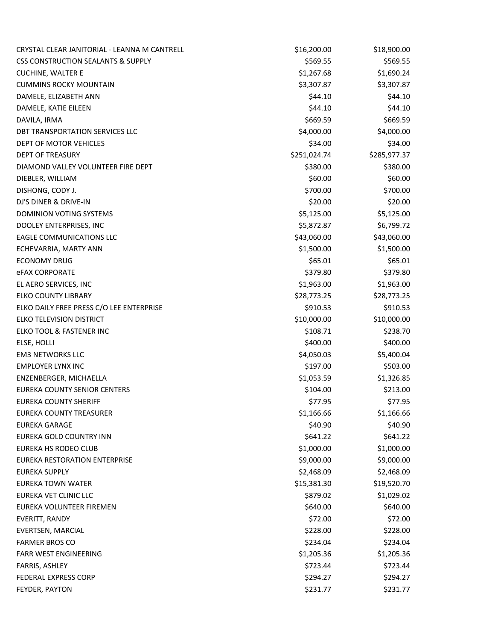| CRYSTAL CLEAR JANITORIAL - LEANNA M CANTRELL  | \$16,200.00  | \$18,900.00  |
|-----------------------------------------------|--------------|--------------|
| <b>CSS CONSTRUCTION SEALANTS &amp; SUPPLY</b> | \$569.55     | \$569.55     |
| <b>CUCHINE, WALTER E</b>                      | \$1,267.68   | \$1,690.24   |
| <b>CUMMINS ROCKY MOUNTAIN</b>                 | \$3,307.87   | \$3,307.87   |
| DAMELE, ELIZABETH ANN                         | \$44.10      | \$44.10      |
| DAMELE, KATIE EILEEN                          | \$44.10      | \$44.10      |
| DAVILA, IRMA                                  | \$669.59     | \$669.59     |
| DBT TRANSPORTATION SERVICES LLC               | \$4,000.00   | \$4,000.00   |
| DEPT OF MOTOR VEHICLES                        | \$34.00      | \$34.00      |
| <b>DEPT OF TREASURY</b>                       | \$251,024.74 | \$285,977.37 |
| DIAMOND VALLEY VOLUNTEER FIRE DEPT            | \$380.00     | \$380.00     |
| DIEBLER, WILLIAM                              | \$60.00      | \$60.00      |
| DISHONG, CODY J.                              | \$700.00     | \$700.00     |
| DJ'S DINER & DRIVE-IN                         | \$20.00      | \$20.00      |
| DOMINION VOTING SYSTEMS                       | \$5,125.00   | \$5,125.00   |
| DOOLEY ENTERPRISES, INC                       | \$5,872.87   | \$6,799.72   |
| <b>EAGLE COMMUNICATIONS LLC</b>               | \$43,060.00  | \$43,060.00  |
| ECHEVARRIA, MARTY ANN                         | \$1,500.00   | \$1,500.00   |
| <b>ECONOMY DRUG</b>                           | \$65.01      | \$65.01      |
| <b>eFAX CORPORATE</b>                         | \$379.80     | \$379.80     |
| EL AERO SERVICES, INC                         | \$1,963.00   | \$1,963.00   |
| <b>ELKO COUNTY LIBRARY</b>                    | \$28,773.25  | \$28,773.25  |
| ELKO DAILY FREE PRESS C/O LEE ENTERPRISE      | \$910.53     | \$910.53     |
| ELKO TELEVISION DISTRICT                      | \$10,000.00  | \$10,000.00  |
| ELKO TOOL & FASTENER INC                      | \$108.71     | \$238.70     |
| ELSE, HOLLI                                   | \$400.00     | \$400.00     |
| <b>EM3 NETWORKS LLC</b>                       | \$4,050.03   | \$5,400.04   |
| <b>EMPLOYER LYNX INC</b>                      | \$197.00     | \$503.00     |
| ENZENBERGER, MICHAELLA                        | \$1,053.59   | \$1,326.85   |
| EUREKA COUNTY SENIOR CENTERS                  | \$104.00     | \$213.00     |
| <b>EUREKA COUNTY SHERIFF</b>                  | \$77.95      | \$77.95      |
| EUREKA COUNTY TREASURER                       | \$1,166.66   | \$1,166.66   |
| <b>EUREKA GARAGE</b>                          | \$40.90      | \$40.90      |
| EUREKA GOLD COUNTRY INN                       | \$641.22     | \$641.22     |
| <b>EUREKA HS RODEO CLUB</b>                   | \$1,000.00   | \$1,000.00   |
| EUREKA RESTORATION ENTERPRISE                 | \$9,000.00   | \$9,000.00   |
| <b>EUREKA SUPPLY</b>                          | \$2,468.09   | \$2,468.09   |
| <b>EUREKA TOWN WATER</b>                      | \$15,381.30  | \$19,520.70  |
| EUREKA VET CLINIC LLC                         | \$879.02     | \$1,029.02   |
| EUREKA VOLUNTEER FIREMEN                      | \$640.00     | \$640.00     |
| EVERITT, RANDY                                | \$72.00      | \$72.00      |
| EVERTSEN, MARCIAL                             | \$228.00     | \$228.00     |
| <b>FARMER BROS CO</b>                         | \$234.04     | \$234.04     |
| <b>FARR WEST ENGINEERING</b>                  | \$1,205.36   | \$1,205.36   |
| FARRIS, ASHLEY                                | \$723.44     | \$723.44     |
| FEDERAL EXPRESS CORP                          | \$294.27     | \$294.27     |
| FEYDER, PAYTON                                | \$231.77     | \$231.77     |
|                                               |              |              |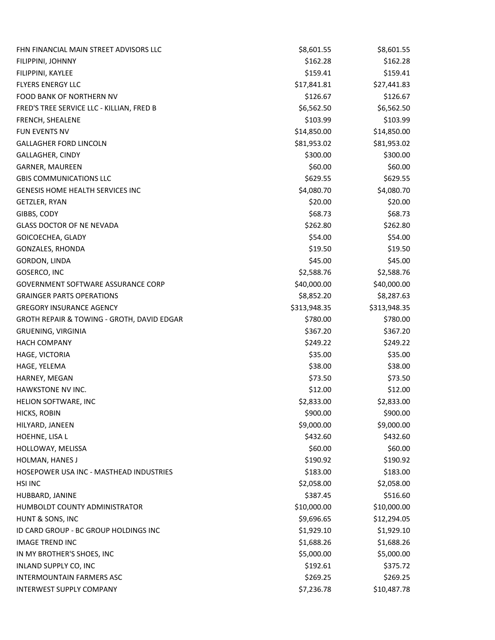| FHN FINANCIAL MAIN STREET ADVISORS LLC     | \$8,601.55   | \$8,601.55   |
|--------------------------------------------|--------------|--------------|
| FILIPPINI, JOHNNY                          | \$162.28     | \$162.28     |
| FILIPPINI, KAYLEE                          | \$159.41     | \$159.41     |
| <b>FLYERS ENERGY LLC</b>                   | \$17,841.81  | \$27,441.83  |
| FOOD BANK OF NORTHERN NV                   | \$126.67     | \$126.67     |
| FRED'S TREE SERVICE LLC - KILLIAN, FRED B  | \$6,562.50   | \$6,562.50   |
| FRENCH, SHEALENE                           | \$103.99     | \$103.99     |
| FUN EVENTS NV                              | \$14,850.00  | \$14,850.00  |
| <b>GALLAGHER FORD LINCOLN</b>              | \$81,953.02  | \$81,953.02  |
| GALLAGHER, CINDY                           | \$300.00     | \$300.00     |
| GARNER, MAUREEN                            | \$60.00      | \$60.00      |
| <b>GBIS COMMUNICATIONS LLC</b>             | \$629.55     | \$629.55     |
| <b>GENESIS HOME HEALTH SERVICES INC</b>    | \$4,080.70   | \$4,080.70   |
| GETZLER, RYAN                              | \$20.00      | \$20.00      |
| GIBBS, CODY                                | \$68.73      | \$68.73      |
| <b>GLASS DOCTOR OF NE NEVADA</b>           | \$262.80     | \$262.80     |
| GOICOECHEA, GLADY                          | \$54.00      | \$54.00      |
| GONZALES, RHONDA                           | \$19.50      | \$19.50      |
| GORDON, LINDA                              | \$45.00      | \$45.00      |
| GOSERCO, INC                               | \$2,588.76   | \$2,588.76   |
| <b>GOVERNMENT SOFTWARE ASSURANCE CORP</b>  | \$40,000.00  | \$40,000.00  |
| <b>GRAINGER PARTS OPERATIONS</b>           | \$8,852.20   | \$8,287.63   |
| <b>GREGORY INSURANCE AGENCY</b>            | \$313,948.35 | \$313,948.35 |
| GROTH REPAIR & TOWING - GROTH, DAVID EDGAR | \$780.00     | \$780.00     |
| <b>GRUENING, VIRGINIA</b>                  | \$367.20     | \$367.20     |
| <b>HACH COMPANY</b>                        | \$249.22     | \$249.22     |
| HAGE, VICTORIA                             | \$35.00      | \$35.00      |
| HAGE, YELEMA                               | \$38.00      | \$38.00      |
| HARNEY, MEGAN                              | \$73.50      | \$73.50      |
| HAWKSTONE NV INC.                          | \$12.00      | \$12.00      |
| HELION SOFTWARE, INC                       | \$2,833.00   | \$2,833.00   |
| HICKS, ROBIN                               | \$900.00     | \$900.00     |
| HILYARD, JANEEN                            | \$9,000.00   | \$9,000.00   |
| HOEHNE, LISA L                             | \$432.60     | \$432.60     |
| HOLLOWAY, MELISSA                          | \$60.00      | \$60.00      |
| HOLMAN, HANES J                            | \$190.92     | \$190.92     |
| HOSEPOWER USA INC - MASTHEAD INDUSTRIES    | \$183.00     | \$183.00     |
| <b>HSI INC</b>                             | \$2,058.00   | \$2,058.00   |
| HUBBARD, JANINE                            | \$387.45     | \$516.60     |
| HUMBOLDT COUNTY ADMINISTRATOR              | \$10,000.00  | \$10,000.00  |
| HUNT & SONS, INC                           | \$9,696.65   | \$12,294.05  |
| ID CARD GROUP - BC GROUP HOLDINGS INC      | \$1,929.10   | \$1,929.10   |
| <b>IMAGE TREND INC</b>                     | \$1,688.26   | \$1,688.26   |
| IN MY BROTHER'S SHOES, INC                 | \$5,000.00   | \$5,000.00   |
| INLAND SUPPLY CO, INC                      | \$192.61     | \$375.72     |
| <b>INTERMOUNTAIN FARMERS ASC</b>           | \$269.25     | \$269.25     |
| <b>INTERWEST SUPPLY COMPANY</b>            | \$7,236.78   | \$10,487.78  |
|                                            |              |              |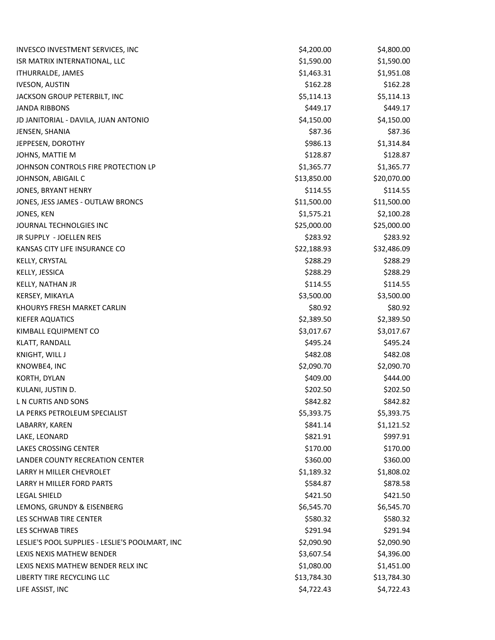| INVESCO INVESTMENT SERVICES, INC                | \$4,200.00  | \$4,800.00  |
|-------------------------------------------------|-------------|-------------|
| ISR MATRIX INTERNATIONAL, LLC                   | \$1,590.00  | \$1,590.00  |
| <b>ITHURRALDE, JAMES</b>                        | \$1,463.31  | \$1,951.08  |
| <b>IVESON, AUSTIN</b>                           | \$162.28    | \$162.28    |
| JACKSON GROUP PETERBILT, INC                    | \$5,114.13  | \$5,114.13  |
| <b>JANDA RIBBONS</b>                            | \$449.17    | \$449.17    |
| JD JANITORIAL - DAVILA, JUAN ANTONIO            | \$4,150.00  | \$4,150.00  |
| JENSEN, SHANIA                                  | \$87.36     | \$87.36     |
| JEPPESEN, DOROTHY                               | \$986.13    | \$1,314.84  |
| JOHNS, MATTIE M                                 | \$128.87    | \$128.87    |
| JOHNSON CONTROLS FIRE PROTECTION LP             | \$1,365.77  | \$1,365.77  |
| JOHNSON, ABIGAIL C                              | \$13,850.00 | \$20,070.00 |
| JONES, BRYANT HENRY                             | \$114.55    | \$114.55    |
| JONES, JESS JAMES - OUTLAW BRONCS               | \$11,500.00 | \$11,500.00 |
| JONES, KEN                                      | \$1,575.21  | \$2,100.28  |
| JOURNAL TECHNOLGIES INC                         | \$25,000.00 | \$25,000.00 |
| JR SUPPLY - JOELLEN REIS                        | \$283.92    | \$283.92    |
| KANSAS CITY LIFE INSURANCE CO                   | \$22,188.93 | \$32,486.09 |
| KELLY, CRYSTAL                                  | \$288.29    | \$288.29    |
| KELLY, JESSICA                                  | \$288.29    | \$288.29    |
| KELLY, NATHAN JR                                | \$114.55    | \$114.55    |
| KERSEY, MIKAYLA                                 | \$3,500.00  | \$3,500.00  |
| KHOURYS FRESH MARKET CARLIN                     | \$80.92     | \$80.92     |
| <b>KIEFER AQUATICS</b>                          | \$2,389.50  | \$2,389.50  |
| KIMBALL EQUIPMENT CO                            | \$3,017.67  | \$3,017.67  |
| KLATT, RANDALL                                  | \$495.24    | \$495.24    |
| KNIGHT, WILL J                                  | \$482.08    | \$482.08    |
| KNOWBE4, INC                                    | \$2,090.70  | \$2,090.70  |
| KORTH, DYLAN                                    | \$409.00    | \$444.00    |
| KULANI, JUSTIN D.                               | \$202.50    | \$202.50    |
| L N CURTIS AND SONS                             | \$842.82    | \$842.82    |
| LA PERKS PETROLEUM SPECIALIST                   | \$5,393.75  | \$5,393.75  |
| LABARRY, KAREN                                  | \$841.14    | \$1,121.52  |
| LAKE, LEONARD                                   | \$821.91    | \$997.91    |
| LAKES CROSSING CENTER                           | \$170.00    | \$170.00    |
| <b>LANDER COUNTY RECREATION CENTER</b>          | \$360.00    | \$360.00    |
| LARRY H MILLER CHEVROLET                        | \$1,189.32  | \$1,808.02  |
| LARRY H MILLER FORD PARTS                       | \$584.87    | \$878.58    |
| <b>LEGAL SHIELD</b>                             | \$421.50    | \$421.50    |
| LEMONS, GRUNDY & EISENBERG                      | \$6,545.70  | \$6,545.70  |
| LES SCHWAB TIRE CENTER                          | \$580.32    | \$580.32    |
| LES SCHWAB TIRES                                | \$291.94    | \$291.94    |
| LESLIE'S POOL SUPPLIES - LESLIE'S POOLMART, INC | \$2,090.90  | \$2,090.90  |
| LEXIS NEXIS MATHEW BENDER                       | \$3,607.54  | \$4,396.00  |
| LEXIS NEXIS MATHEW BENDER RELX INC              | \$1,080.00  | \$1,451.00  |
| LIBERTY TIRE RECYCLING LLC                      | \$13,784.30 | \$13,784.30 |
| LIFE ASSIST, INC                                | \$4,722.43  | \$4,722.43  |
|                                                 |             |             |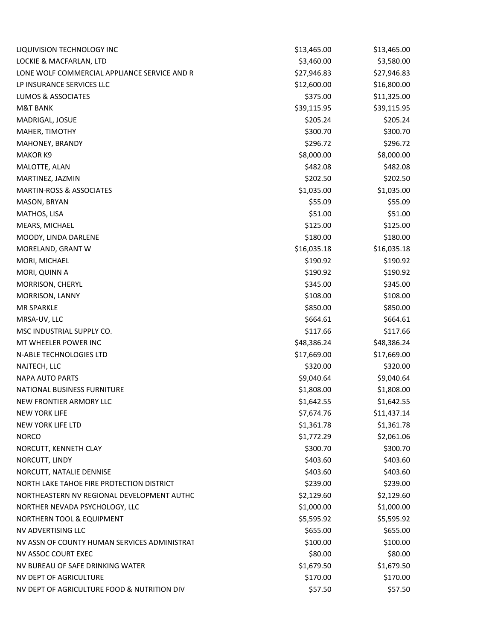| LIQUIVISION TECHNOLOGY INC                    | \$13,465.00 | \$13,465.00 |
|-----------------------------------------------|-------------|-------------|
| LOCKIE & MACFARLAN, LTD                       | \$3,460.00  | \$3,580.00  |
| LONE WOLF COMMERCIAL APPLIANCE SERVICE AND RI | \$27,946.83 | \$27,946.83 |
| LP INSURANCE SERVICES LLC                     | \$12,600.00 | \$16,800.00 |
| LUMOS & ASSOCIATES                            | \$375.00    | \$11,325.00 |
| <b>M&amp;T BANK</b>                           | \$39,115.95 | \$39,115.95 |
| MADRIGAL, JOSUE                               | \$205.24    | \$205.24    |
| MAHER, TIMOTHY                                | \$300.70    | \$300.70    |
| MAHONEY, BRANDY                               | \$296.72    | \$296.72    |
| <b>MAKOR K9</b>                               | \$8,000.00  | \$8,000.00  |
| MALOTTE, ALAN                                 | \$482.08    | \$482.08    |
| MARTINEZ, JAZMIN                              | \$202.50    | \$202.50    |
| <b>MARTIN-ROSS &amp; ASSOCIATES</b>           | \$1,035.00  | \$1,035.00  |
| MASON, BRYAN                                  | \$55.09     | \$55.09     |
| MATHOS, LISA                                  | \$51.00     | \$51.00     |
| MEARS, MICHAEL                                | \$125.00    | \$125.00    |
| MOODY, LINDA DARLENE                          | \$180.00    | \$180.00    |
| MORELAND, GRANT W                             | \$16,035.18 | \$16,035.18 |
| MORI, MICHAEL                                 | \$190.92    | \$190.92    |
| MORI, QUINN A                                 | \$190.92    | \$190.92    |
| MORRISON, CHERYL                              | \$345.00    | \$345.00    |
| MORRISON, LANNY                               | \$108.00    | \$108.00    |
| <b>MR SPARKLE</b>                             | \$850.00    | \$850.00    |
| MRSA-UV, LLC                                  | \$664.61    | \$664.61    |
| MSC INDUSTRIAL SUPPLY CO.                     | \$117.66    | \$117.66    |
| MT WHEELER POWER INC                          | \$48,386.24 | \$48,386.24 |
| N-ABLE TECHNOLOGIES LTD                       | \$17,669.00 | \$17,669.00 |
| NAJTECH, LLC                                  | \$320.00    | \$320.00    |
| <b>NAPA AUTO PARTS</b>                        | \$9,040.64  | \$9,040.64  |
| NATIONAL BUSINESS FURNITURE                   | \$1,808.00  | \$1,808.00  |
| NEW FRONTIER ARMORY LLC                       | \$1,642.55  | \$1,642.55  |
| <b>NEW YORK LIFE</b>                          | \$7,674.76  | \$11,437.14 |
| <b>NEW YORK LIFE LTD</b>                      | \$1,361.78  | \$1,361.78  |
| <b>NORCO</b>                                  | \$1,772.29  | \$2,061.06  |
| NORCUTT, KENNETH CLAY                         | \$300.70    | \$300.70    |
| NORCUTT, LINDY                                | \$403.60    | \$403.60    |
| NORCUTT, NATALIE DENNISE                      | \$403.60    | \$403.60    |
| NORTH LAKE TAHOE FIRE PROTECTION DISTRICT     | \$239.00    | \$239.00    |
| NORTHEASTERN NV REGIONAL DEVELOPMENT AUTHC    | \$2,129.60  | \$2,129.60  |
| NORTHER NEVADA PSYCHOLOGY, LLC                | \$1,000.00  | \$1,000.00  |
| NORTHERN TOOL & EQUIPMENT                     | \$5,595.92  | \$5,595.92  |
| NV ADVERTISING LLC                            | \$655.00    | \$655.00    |
| NV ASSN OF COUNTY HUMAN SERVICES ADMINISTRAT  | \$100.00    | \$100.00    |
| NV ASSOC COURT EXEC                           | \$80.00     | \$80.00     |
| NV BUREAU OF SAFE DRINKING WATER              | \$1,679.50  | \$1,679.50  |
| NV DEPT OF AGRICULTURE                        | \$170.00    | \$170.00    |
| NV DEPT OF AGRICULTURE FOOD & NUTRITION DIV   | \$57.50     | \$57.50     |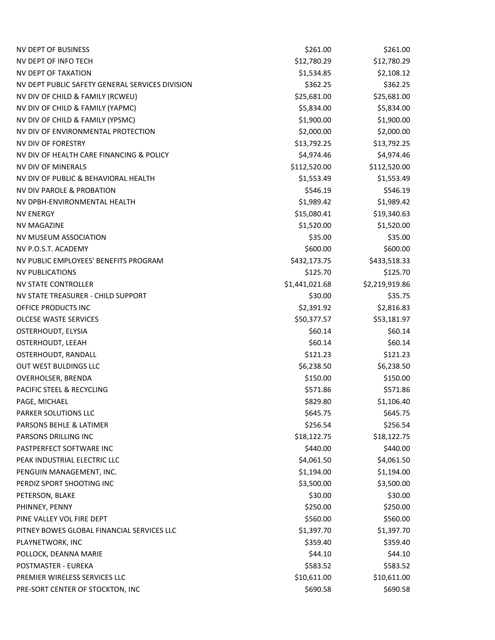| <b>NV DEPT OF BUSINESS</b>                      | \$261.00       | \$261.00       |
|-------------------------------------------------|----------------|----------------|
| NV DEPT OF INFO TECH                            | \$12,780.29    | \$12,780.29    |
| NV DEPT OF TAXATION                             | \$1,534.85     | \$2,108.12     |
| NV DEPT PUBLIC SAFETY GENERAL SERVICES DIVISION | \$362.25       | \$362.25       |
| NV DIV OF CHILD & FAMILY (RCWEU)                | \$25,681.00    | \$25,681.00    |
| NV DIV OF CHILD & FAMILY (YAPMC)                | \$5,834.00     | \$5,834.00     |
| NV DIV OF CHILD & FAMILY (YPSMC)                | \$1,900.00     | \$1,900.00     |
| NV DIV OF ENVIRONMENTAL PROTECTION              | \$2,000.00     | \$2,000.00     |
| NV DIV OF FORESTRY                              | \$13,792.25    | \$13,792.25    |
| NV DIV OF HEALTH CARE FINANCING & POLICY        | \$4,974.46     | \$4,974.46     |
| NV DIV OF MINERALS                              | \$112,520.00   | \$112,520.00   |
| NV DIV OF PUBLIC & BEHAVIORAL HEALTH            | \$1,553.49     | \$1,553.49     |
| NV DIV PAROLE & PROBATION                       | \$546.19       | \$546.19       |
| NV DPBH-ENVIRONMENTAL HEALTH                    | \$1,989.42     | \$1,989.42     |
| <b>NV ENERGY</b>                                | \$15,080.41    | \$19,340.63    |
| <b>NV MAGAZINE</b>                              | \$1,520.00     | \$1,520.00     |
| NV MUSEUM ASSOCIATION                           | \$35.00        | \$35.00        |
| NV P.O.S.T. ACADEMY                             | \$600.00       | \$600.00       |
| NV PUBLIC EMPLOYEES' BENEFITS PROGRAM           | \$432,173.75   | \$433,518.33   |
| <b>NV PUBLICATIONS</b>                          | \$125.70       | \$125.70       |
| <b>NV STATE CONTROLLER</b>                      | \$1,441,021.68 | \$2,219,919.86 |
| NV STATE TREASURER - CHILD SUPPORT              | \$30.00        | \$35.75        |
| OFFICE PRODUCTS INC                             | \$2,391.92     | \$2,816.83     |
| <b>OLCESE WASTE SERVICES</b>                    | \$50,377.57    | \$53,181.97    |
| OSTERHOUDT, ELYSIA                              | \$60.14        | \$60.14        |
| OSTERHOUDT, LEEAH                               | \$60.14        | \$60.14        |
| OSTERHOUDT, RANDALL                             | \$121.23       | \$121.23       |
| <b>OUT WEST BULDINGS LLC</b>                    | \$6,238.50     | \$6,238.50     |
| OVERHOLSER, BRENDA                              | \$150.00       | \$150.00       |
| PACIFIC STEEL & RECYCLING                       | \$571.86       | \$571.86       |
| PAGE, MICHAEL                                   | \$829.80       | \$1,106.40     |
| PARKER SOLUTIONS LLC                            | \$645.75       | \$645.75       |
| PARSONS BEHLE & LATIMER                         | \$256.54       | \$256.54       |
| PARSONS DRILLING INC                            | \$18,122.75    | \$18,122.75    |
| PASTPERFECT SOFTWARE INC                        | \$440.00       | \$440.00       |
| PEAK INDUSTRIAL ELECTRIC LLC                    | \$4,061.50     | \$4,061.50     |
| PENGUIN MANAGEMENT, INC.                        | \$1,194.00     | \$1,194.00     |
| PERDIZ SPORT SHOOTING INC                       | \$3,500.00     | \$3,500.00     |
| PETERSON, BLAKE                                 | \$30.00        | \$30.00        |
| PHINNEY, PENNY                                  | \$250.00       | \$250.00       |
| PINE VALLEY VOL FIRE DEPT                       | \$560.00       | \$560.00       |
| PITNEY BOWES GLOBAL FINANCIAL SERVICES LLC      | \$1,397.70     | \$1,397.70     |
| PLAYNETWORK, INC                                | \$359.40       | \$359.40       |
| POLLOCK, DEANNA MARIE                           | \$44.10        | \$44.10        |
| POSTMASTER - EUREKA                             | \$583.52       | \$583.52       |
| PREMIER WIRELESS SERVICES LLC                   | \$10,611.00    | \$10,611.00    |
| PRE-SORT CENTER OF STOCKTON, INC                | \$690.58       | \$690.58       |
|                                                 |                |                |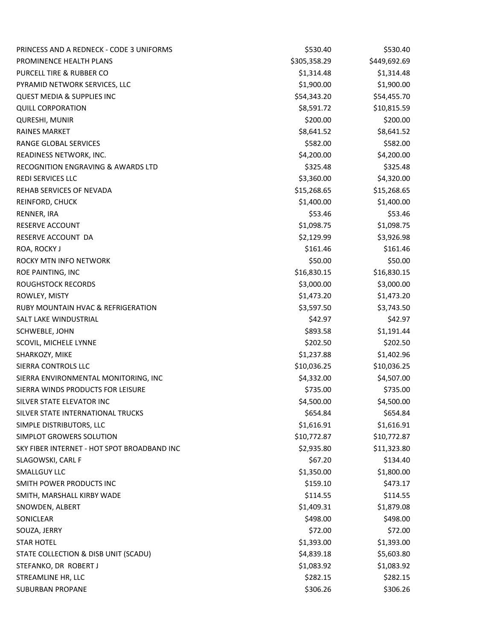| PRINCESS AND A REDNECK - CODE 3 UNIFORMS      | \$530.40     | \$530.40     |
|-----------------------------------------------|--------------|--------------|
| PROMINENCE HEALTH PLANS                       | \$305,358.29 | \$449,692.69 |
| PURCELL TIRE & RUBBER CO                      | \$1,314.48   | \$1,314.48   |
| PYRAMID NETWORK SERVICES, LLC                 | \$1,900.00   | \$1,900.00   |
| <b>QUEST MEDIA &amp; SUPPLIES INC</b>         | \$54,343.20  | \$54,455.70  |
| <b>QUILL CORPORATION</b>                      | \$8,591.72   | \$10,815.59  |
| QURESHI, MUNIR                                | \$200.00     | \$200.00     |
| <b>RAINES MARKET</b>                          | \$8,641.52   | \$8,641.52   |
| RANGE GLOBAL SERVICES                         | \$582.00     | \$582.00     |
| READINESS NETWORK, INC.                       | \$4,200.00   | \$4,200.00   |
| <b>RECOGNITION ENGRAVING &amp; AWARDS LTD</b> | \$325.48     | \$325.48     |
| <b>REDI SERVICES LLC</b>                      | \$3,360.00   | \$4,320.00   |
| REHAB SERVICES OF NEVADA                      | \$15,268.65  | \$15,268.65  |
| REINFORD, CHUCK                               | \$1,400.00   | \$1,400.00   |
| RENNER, IRA                                   | \$53.46      | \$53.46      |
| <b>RESERVE ACCOUNT</b>                        | \$1,098.75   | \$1,098.75   |
| RESERVE ACCOUNT DA                            | \$2,129.99   | \$3,926.98   |
| ROA, ROCKY J                                  | \$161.46     | \$161.46     |
| <b>ROCKY MTN INFO NETWORK</b>                 | \$50.00      | \$50.00      |
| ROE PAINTING, INC                             | \$16,830.15  | \$16,830.15  |
| ROUGHSTOCK RECORDS                            | \$3,000.00   | \$3,000.00   |
| ROWLEY, MISTY                                 | \$1,473.20   | \$1,473.20   |
| RUBY MOUNTAIN HVAC & REFRIGERATION            | \$3,597.50   | \$3,743.50   |
| SALT LAKE WINDUSTRIAL                         | \$42.97      | \$42.97      |
| SCHWEBLE, JOHN                                | \$893.58     | \$1,191.44   |
| SCOVIL, MICHELE LYNNE                         | \$202.50     | \$202.50     |
| SHARKOZY, MIKE                                | \$1,237.88   | \$1,402.96   |
| SIERRA CONTROLS LLC                           | \$10,036.25  | \$10,036.25  |
| SIERRA ENVIRONMENTAL MONITORING, INC          | \$4,332.00   | \$4,507.00   |
| SIERRA WINDS PRODUCTS FOR LEISURE             | \$735.00     | \$735.00     |
| SILVER STATE ELEVATOR INC                     | \$4,500.00   | \$4,500.00   |
| SILVER STATE INTERNATIONAL TRUCKS             | \$654.84     | \$654.84     |
| SIMPLE DISTRIBUTORS, LLC                      | \$1,616.91   | \$1,616.91   |
| SIMPLOT GROWERS SOLUTION                      | \$10,772.87  | \$10,772.87  |
| SKY FIBER INTERNET - HOT SPOT BROADBAND INC   | \$2,935.80   | \$11,323.80  |
| SLAGOWSKI, CARL F                             | \$67.20      | \$134.40     |
| <b>SMALLGUY LLC</b>                           | \$1,350.00   | \$1,800.00   |
| SMITH POWER PRODUCTS INC                      | \$159.10     | \$473.17     |
| SMITH, MARSHALL KIRBY WADE                    | \$114.55     | \$114.55     |
| SNOWDEN, ALBERT                               | \$1,409.31   | \$1,879.08   |
| SONICLEAR                                     | \$498.00     | \$498.00     |
| SOUZA, JERRY                                  | \$72.00      | \$72.00      |
| <b>STAR HOTEL</b>                             | \$1,393.00   | \$1,393.00   |
| STATE COLLECTION & DISB UNIT (SCADU)          | \$4,839.18   | \$5,603.80   |
| STEFANKO, DR ROBERT J                         | \$1,083.92   | \$1,083.92   |
| STREAMLINE HR, LLC                            | \$282.15     | \$282.15     |
| SUBURBAN PROPANE                              | \$306.26     | \$306.26     |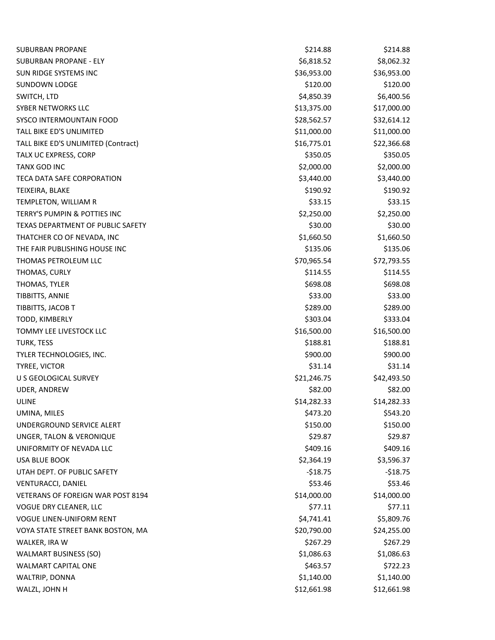| <b>SUBURBAN PROPANE</b>                  | \$214.88    | \$214.88    |
|------------------------------------------|-------------|-------------|
| <b>SUBURBAN PROPANE - ELY</b>            | \$6,818.52  | \$8,062.32  |
| SUN RIDGE SYSTEMS INC                    | \$36,953.00 | \$36,953.00 |
| <b>SUNDOWN LODGE</b>                     | \$120.00    | \$120.00    |
| SWITCH, LTD                              | \$4,850.39  | \$6,400.56  |
| SYBER NETWORKS LLC                       | \$13,375.00 | \$17,000.00 |
| SYSCO INTERMOUNTAIN FOOD                 | \$28,562.57 | \$32,614.12 |
| TALL BIKE ED'S UNLIMITED                 | \$11,000.00 | \$11,000.00 |
| TALL BIKE ED'S UNLIMITED (Contract)      | \$16,775.01 | \$22,366.68 |
| TALX UC EXPRESS, CORP                    | \$350.05    | \$350.05    |
| <b>TANX GOD INC</b>                      | \$2,000.00  | \$2,000.00  |
| TECA DATA SAFE CORPORATION               | \$3,440.00  | \$3,440.00  |
| TEIXEIRA, BLAKE                          | \$190.92    | \$190.92    |
| TEMPLETON, WILLIAM R                     | \$33.15     | \$33.15     |
| TERRY'S PUMPIN & POTTIES INC             | \$2,250.00  | \$2,250.00  |
| TEXAS DEPARTMENT OF PUBLIC SAFETY        | \$30.00     | \$30.00     |
| THATCHER CO OF NEVADA, INC               | \$1,660.50  | \$1,660.50  |
| THE FAIR PUBLISHING HOUSE INC            | \$135.06    | \$135.06    |
| THOMAS PETROLEUM LLC                     | \$70,965.54 | \$72,793.55 |
| THOMAS, CURLY                            | \$114.55    | \$114.55    |
| THOMAS, TYLER                            | \$698.08    | \$698.08    |
| TIBBITTS, ANNIE                          | \$33.00     | \$33.00     |
| TIBBITTS, JACOB T                        | \$289.00    | \$289.00    |
| TODD, KIMBERLY                           | \$303.04    | \$333.04    |
| TOMMY LEE LIVESTOCK LLC                  | \$16,500.00 | \$16,500.00 |
| TURK, TESS                               | \$188.81    | \$188.81    |
| TYLER TECHNOLOGIES, INC.                 | \$900.00    | \$900.00    |
| TYREE, VICTOR                            | \$31.14     | \$31.14     |
| U S GEOLOGICAL SURVEY                    | \$21,246.75 | \$42,493.50 |
| UDER, ANDREW                             | \$82.00     | \$82.00     |
| ULINE                                    | \$14,282.33 | \$14,282.33 |
| UMINA, MILES                             | \$473.20    | \$543.20    |
| UNDERGROUND SERVICE ALERT                | \$150.00    | \$150.00    |
| UNGER, TALON & VERONIQUE                 | \$29.87     | \$29.87     |
| UNIFORMITY OF NEVADA LLC                 | \$409.16    | \$409.16    |
| USA BLUE BOOK                            | \$2,364.19  | \$3,596.37  |
| UTAH DEPT. OF PUBLIC SAFETY              | $-518.75$   | $-518.75$   |
| VENTURACCI, DANIEL                       | \$53.46     | \$53.46     |
| <b>VETERANS OF FOREIGN WAR POST 8194</b> | \$14,000.00 | \$14,000.00 |
| VOGUE DRY CLEANER, LLC                   | \$77.11     | \$77.11     |
| <b>VOGUE LINEN-UNIFORM RENT</b>          | \$4,741.41  | \$5,809.76  |
| VOYA STATE STREET BANK BOSTON, MA        | \$20,790.00 | \$24,255.00 |
| WALKER, IRA W                            | \$267.29    | \$267.29    |
| <b>WALMART BUSINESS (SO)</b>             | \$1,086.63  | \$1,086.63  |
| WALMART CAPITAL ONE                      | \$463.57    | \$722.23    |
| WALTRIP, DONNA                           | \$1,140.00  | \$1,140.00  |
| WALZL, JOHN H                            | \$12,661.98 | \$12,661.98 |
|                                          |             |             |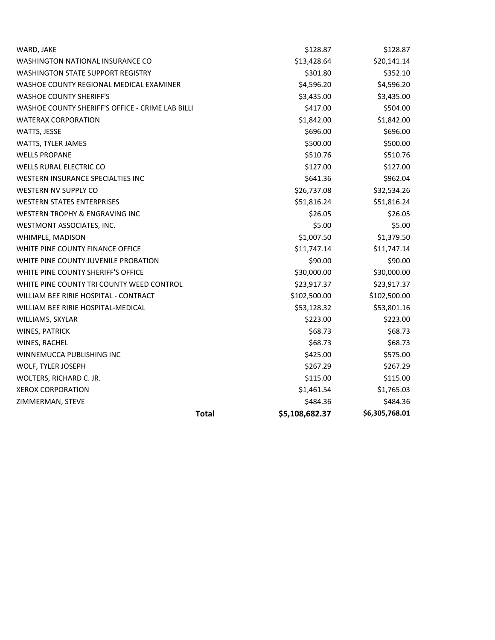| <b>Total</b>                                      | \$5,108,682.37 | \$6,305,768.01 |
|---------------------------------------------------|----------------|----------------|
| ZIMMERMAN, STEVE                                  | \$484.36       | \$484.36       |
| <b>XEROX CORPORATION</b>                          | \$1,461.54     | \$1,765.03     |
| WOLTERS, RICHARD C. JR.                           | \$115.00       | \$115.00       |
| WOLF, TYLER JOSEPH                                | \$267.29       | \$267.29       |
| WINNEMUCCA PUBLISHING INC                         | \$425.00       | \$575.00       |
| WINES, RACHEL                                     | \$68.73        | \$68.73        |
| WINES, PATRICK                                    | \$68.73        | \$68.73        |
| WILLIAMS, SKYLAR                                  | \$223.00       | \$223.00       |
| WILLIAM BEE RIRIE HOSPITAL-MEDICAL                | \$53,128.32    | \$53,801.16    |
| WILLIAM BEE RIRIE HOSPITAL - CONTRACT             | \$102,500.00   | \$102,500.00   |
| WHITE PINE COUNTY TRI COUNTY WEED CONTROL         | \$23,917.37    | \$23,917.37    |
| WHITE PINE COUNTY SHERIFF'S OFFICE                | \$30,000.00    | \$30,000.00    |
| WHITE PINE COUNTY JUVENILE PROBATION              | \$90.00        | \$90.00        |
| WHITE PINE COUNTY FINANCE OFFICE                  | \$11,747.14    | \$11,747.14    |
| WHIMPLE, MADISON                                  | \$1,007.50     | \$1,379.50     |
| WESTMONT ASSOCIATES, INC.                         | \$5.00         | \$5.00         |
| <b>WESTERN TROPHY &amp; ENGRAVING INC</b>         | \$26.05        | \$26.05        |
| <b>WESTERN STATES ENTERPRISES</b>                 | \$51,816.24    | \$51,816.24    |
| <b>WESTERN NV SUPPLY CO</b>                       | \$26,737.08    | \$32,534.26    |
| WESTERN INSURANCE SPECIALTIES INC                 | \$641.36       | \$962.04       |
| <b>WELLS RURAL ELECTRIC CO</b>                    | \$127.00       | \$127.00       |
| <b>WELLS PROPANE</b>                              | \$510.76       | \$510.76       |
| WATTS, TYLER JAMES                                | \$500.00       | \$500.00       |
| WATTS, JESSE                                      | \$696.00       | \$696.00       |
| <b>WATERAX CORPORATION</b>                        | \$1,842.00     | \$1,842.00     |
| WASHOE COUNTY SHERIFF'S OFFICE - CRIME LAB BILLII | \$417.00       | \$504.00       |
| <b>WASHOE COUNTY SHERIFF'S</b>                    | \$3,435.00     | \$3,435.00     |
| WASHOE COUNTY REGIONAL MEDICAL EXAMINER           | \$4,596.20     | \$4,596.20     |
| <b>WASHINGTON STATE SUPPORT REGISTRY</b>          | \$301.80       | \$352.10       |
| <b>WASHINGTON NATIONAL INSURANCE CO</b>           | \$13,428.64    | \$20,141.14    |
| WARD, JAKE                                        | \$128.87       | \$128.87       |